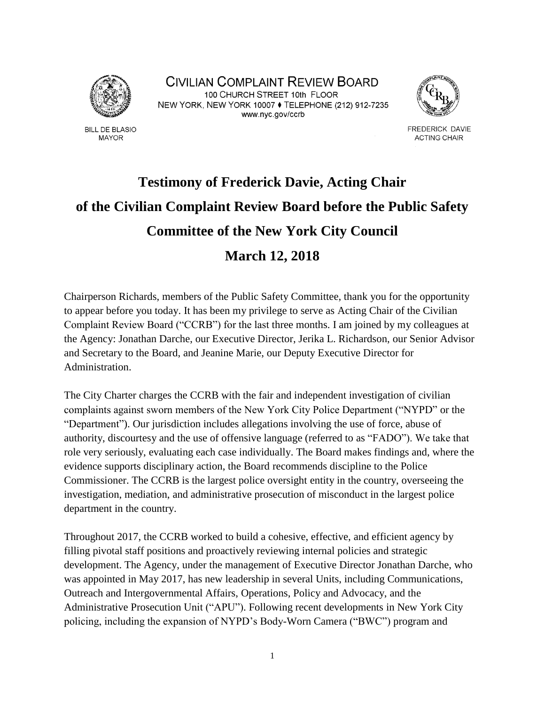

**BILL DE BLASIO MAYOR** 

CIVILIAN COMPLAINT REVIEW BOARD 100 CHURCH STREET 10th FLOOR NEW YORK, NEW YORK 10007 ♦ TELEPHONE (212) 912-7235 www.nyc.gov/ccrb



FREDERICK DAVIE **ACTING CHAIR** 

# **Testimony of Frederick Davie, Acting Chair of the Civilian Complaint Review Board before the Public Safety Committee of the New York City Council March 12, 2018**

Chairperson Richards, members of the Public Safety Committee, thank you for the opportunity to appear before you today. It has been my privilege to serve as Acting Chair of the Civilian Complaint Review Board ("CCRB") for the last three months. I am joined by my colleagues at the Agency: Jonathan Darche, our Executive Director, Jerika L. Richardson, our Senior Advisor and Secretary to the Board, and Jeanine Marie, our Deputy Executive Director for Administration.

The City Charter charges the CCRB with the fair and independent investigation of civilian complaints against sworn members of the New York City Police Department ("NYPD" or the "Department"). Our jurisdiction includes allegations involving the use of force, abuse of authority, discourtesy and the use of offensive language (referred to as "FADO"). We take that role very seriously, evaluating each case individually. The Board makes findings and, where the evidence supports disciplinary action, the Board recommends discipline to the Police Commissioner. The CCRB is the largest police oversight entity in the country, overseeing the investigation, mediation, and administrative prosecution of misconduct in the largest police department in the country.

Throughout 2017, the CCRB worked to build a cohesive, effective, and efficient agency by filling pivotal staff positions and proactively reviewing internal policies and strategic development. The Agency, under the management of Executive Director Jonathan Darche, who was appointed in May 2017, has new leadership in several Units, including Communications, Outreach and Intergovernmental Affairs, Operations, Policy and Advocacy, and the Administrative Prosecution Unit ("APU"). Following recent developments in New York City policing, including the expansion of NYPD's Body-Worn Camera ("BWC") program and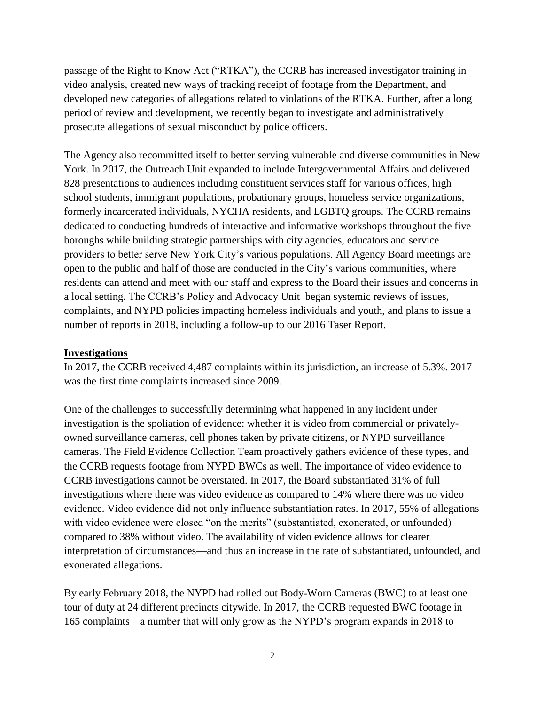passage of the Right to Know Act ("RTKA"), the CCRB has increased investigator training in video analysis, created new ways of tracking receipt of footage from the Department, and developed new categories of allegations related to violations of the RTKA. Further, after a long period of review and development, we recently began to investigate and administratively prosecute allegations of sexual misconduct by police officers.

The Agency also recommitted itself to better serving vulnerable and diverse communities in New York. In 2017, the Outreach Unit expanded to include Intergovernmental Affairs and delivered 828 presentations to audiences including constituent services staff for various offices, high school students, immigrant populations, probationary groups, homeless service organizations, formerly incarcerated individuals, NYCHA residents, and LGBTQ groups. The CCRB remains dedicated to conducting hundreds of interactive and informative workshops throughout the five boroughs while building strategic partnerships with city agencies, educators and service providers to better serve New York City's various populations. All Agency Board meetings are open to the public and half of those are conducted in the City's various communities, where residents can attend and meet with our staff and express to the Board their issues and concerns in a local setting. The CCRB's Policy and Advocacy Unit began systemic reviews of issues, complaints, and NYPD policies impacting homeless individuals and youth, and plans to issue a number of reports in 2018, including a follow-up to our 2016 Taser Report.

## **Investigations**

In 2017, the CCRB received 4,487 complaints within its jurisdiction, an increase of 5.3%. 2017 was the first time complaints increased since 2009.

One of the challenges to successfully determining what happened in any incident under investigation is the spoliation of evidence: whether it is video from commercial or privatelyowned surveillance cameras, cell phones taken by private citizens, or NYPD surveillance cameras. The Field Evidence Collection Team proactively gathers evidence of these types, and the CCRB requests footage from NYPD BWCs as well. The importance of video evidence to CCRB investigations cannot be overstated. In 2017, the Board substantiated 31% of full investigations where there was video evidence as compared to 14% where there was no video evidence. Video evidence did not only influence substantiation rates. In 2017, 55% of allegations with video evidence were closed "on the merits" (substantiated, exonerated, or unfounded) compared to 38% without video. The availability of video evidence allows for clearer interpretation of circumstances—and thus an increase in the rate of substantiated, unfounded, and exonerated allegations.

By early February 2018, the NYPD had rolled out Body-Worn Cameras (BWC) to at least one tour of duty at 24 different precincts citywide. In 2017, the CCRB requested BWC footage in 165 complaints—a number that will only grow as the NYPD's program expands in 2018 to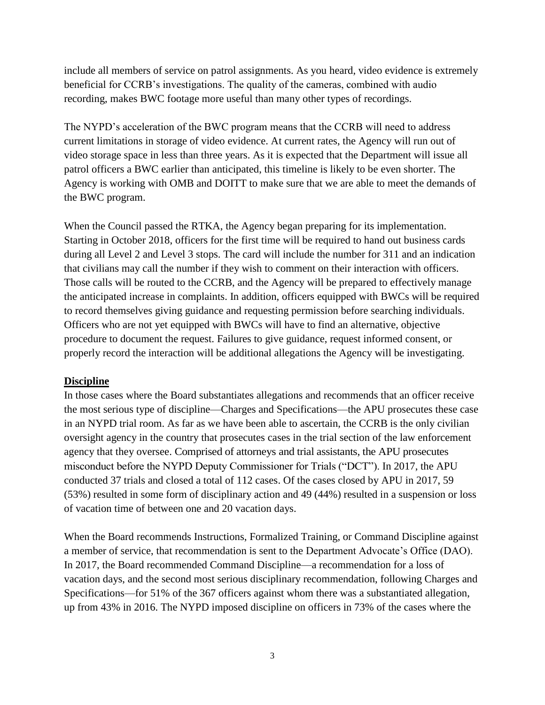include all members of service on patrol assignments. As you heard, video evidence is extremely beneficial for CCRB's investigations. The quality of the cameras, combined with audio recording, makes BWC footage more useful than many other types of recordings.

The NYPD's acceleration of the BWC program means that the CCRB will need to address current limitations in storage of video evidence. At current rates, the Agency will run out of video storage space in less than three years. As it is expected that the Department will issue all patrol officers a BWC earlier than anticipated, this timeline is likely to be even shorter. The Agency is working with OMB and DOITT to make sure that we are able to meet the demands of the BWC program.

When the Council passed the RTKA, the Agency began preparing for its implementation. Starting in October 2018, officers for the first time will be required to hand out business cards during all Level 2 and Level 3 stops. The card will include the number for 311 and an indication that civilians may call the number if they wish to comment on their interaction with officers. Those calls will be routed to the CCRB, and the Agency will be prepared to effectively manage the anticipated increase in complaints. In addition, officers equipped with BWCs will be required to record themselves giving guidance and requesting permission before searching individuals. Officers who are not yet equipped with BWCs will have to find an alternative, objective procedure to document the request. Failures to give guidance, request informed consent, or properly record the interaction will be additional allegations the Agency will be investigating.

#### **Discipline**

In those cases where the Board substantiates allegations and recommends that an officer receive the most serious type of discipline—Charges and Specifications—the APU prosecutes these case in an NYPD trial room. As far as we have been able to ascertain, the CCRB is the only civilian oversight agency in the country that prosecutes cases in the trial section of the law enforcement agency that they oversee. Comprised of attorneys and trial assistants, the APU prosecutes misconduct before the NYPD Deputy Commissioner for Trials ("DCT"). In 2017, the APU conducted 37 trials and closed a total of 112 cases. Of the cases closed by APU in 2017, 59 (53%) resulted in some form of disciplinary action and 49 (44%) resulted in a suspension or loss of vacation time of between one and 20 vacation days.

When the Board recommends Instructions, Formalized Training, or Command Discipline against a member of service, that recommendation is sent to the Department Advocate's Office (DAO). In 2017, the Board recommended Command Discipline—a recommendation for a loss of vacation days, and the second most serious disciplinary recommendation, following Charges and Specifications—for 51% of the 367 officers against whom there was a substantiated allegation, up from 43% in 2016. The NYPD imposed discipline on officers in 73% of the cases where the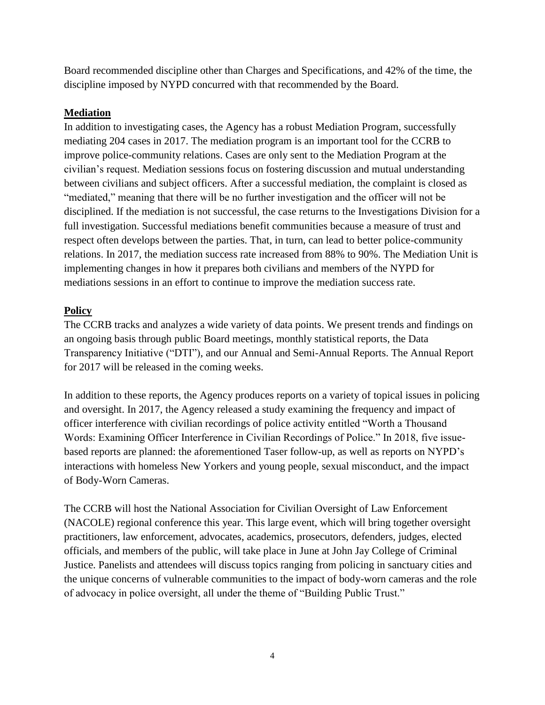Board recommended discipline other than Charges and Specifications, and 42% of the time, the discipline imposed by NYPD concurred with that recommended by the Board.

## **Mediation**

In addition to investigating cases, the Agency has a robust Mediation Program, successfully mediating 204 cases in 2017. The mediation program is an important tool for the CCRB to improve police-community relations. Cases are only sent to the Mediation Program at the civilian's request. Mediation sessions focus on fostering discussion and mutual understanding between civilians and subject officers. After a successful mediation, the complaint is closed as "mediated," meaning that there will be no further investigation and the officer will not be disciplined. If the mediation is not successful, the case returns to the Investigations Division for a full investigation. Successful mediations benefit communities because a measure of trust and respect often develops between the parties. That, in turn, can lead to better police-community relations. In 2017, the mediation success rate increased from 88% to 90%. The Mediation Unit is implementing changes in how it prepares both civilians and members of the NYPD for mediations sessions in an effort to continue to improve the mediation success rate.

## **Policy**

The CCRB tracks and analyzes a wide variety of data points. We present trends and findings on an ongoing basis through public Board meetings, monthly statistical reports, the Data Transparency Initiative ("DTI"), and our Annual and Semi-Annual Reports. The Annual Report for 2017 will be released in the coming weeks.

In addition to these reports, the Agency produces reports on a variety of topical issues in policing and oversight. In 2017, the Agency released a study examining the frequency and impact of officer interference with civilian recordings of police activity entitled "Worth a Thousand Words: Examining Officer Interference in Civilian Recordings of Police." In 2018, five issuebased reports are planned: the aforementioned Taser follow-up, as well as reports on NYPD's interactions with homeless New Yorkers and young people, sexual misconduct, and the impact of Body-Worn Cameras.

The CCRB will host the National Association for Civilian Oversight of Law Enforcement (NACOLE) regional conference this year. This large event, which will bring together oversight practitioners, law enforcement, advocates, academics, prosecutors, defenders, judges, elected officials, and members of the public, will take place in June at John Jay College of Criminal Justice. Panelists and attendees will discuss topics ranging from policing in sanctuary cities and the unique concerns of vulnerable communities to the impact of body-worn cameras and the role of advocacy in police oversight, all under the theme of "Building Public Trust."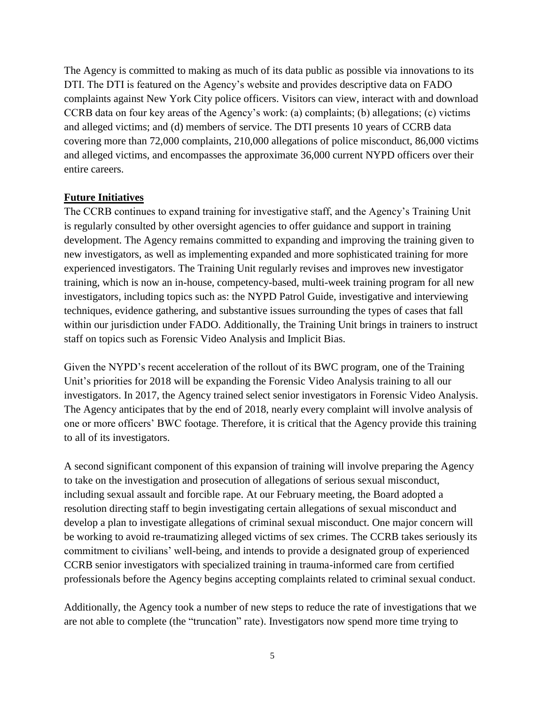The Agency is committed to making as much of its data public as possible via innovations to its DTI. The DTI is featured on the Agency's website and provides descriptive data on FADO complaints against New York City police officers. Visitors can view, interact with and download CCRB data on four key areas of the Agency's work: (a) complaints; (b) allegations; (c) victims and alleged victims; and (d) members of service. The DTI presents 10 years of CCRB data covering more than 72,000 complaints, 210,000 allegations of police misconduct, 86,000 victims and alleged victims, and encompasses the approximate 36,000 current NYPD officers over their entire careers.

### **Future Initiatives**

The CCRB continues to expand training for investigative staff, and the Agency's Training Unit is regularly consulted by other oversight agencies to offer guidance and support in training development. The Agency remains committed to expanding and improving the training given to new investigators, as well as implementing expanded and more sophisticated training for more experienced investigators. The Training Unit regularly revises and improves new investigator training, which is now an in-house, competency-based, multi-week training program for all new investigators, including topics such as: the NYPD Patrol Guide, investigative and interviewing techniques, evidence gathering, and substantive issues surrounding the types of cases that fall within our jurisdiction under FADO. Additionally, the Training Unit brings in trainers to instruct staff on topics such as Forensic Video Analysis and Implicit Bias.

Given the NYPD's recent acceleration of the rollout of its BWC program, one of the Training Unit's priorities for 2018 will be expanding the Forensic Video Analysis training to all our investigators. In 2017, the Agency trained select senior investigators in Forensic Video Analysis. The Agency anticipates that by the end of 2018, nearly every complaint will involve analysis of one or more officers' BWC footage. Therefore, it is critical that the Agency provide this training to all of its investigators.

A second significant component of this expansion of training will involve preparing the Agency to take on the investigation and prosecution of allegations of serious sexual misconduct, including sexual assault and forcible rape. At our February meeting, the Board adopted a resolution directing staff to begin investigating certain allegations of sexual misconduct and develop a plan to investigate allegations of criminal sexual misconduct. One major concern will be working to avoid re-traumatizing alleged victims of sex crimes. The CCRB takes seriously its commitment to civilians' well-being, and intends to provide a designated group of experienced CCRB senior investigators with specialized training in trauma-informed care from certified professionals before the Agency begins accepting complaints related to criminal sexual conduct.

Additionally, the Agency took a number of new steps to reduce the rate of investigations that we are not able to complete (the "truncation" rate). Investigators now spend more time trying to